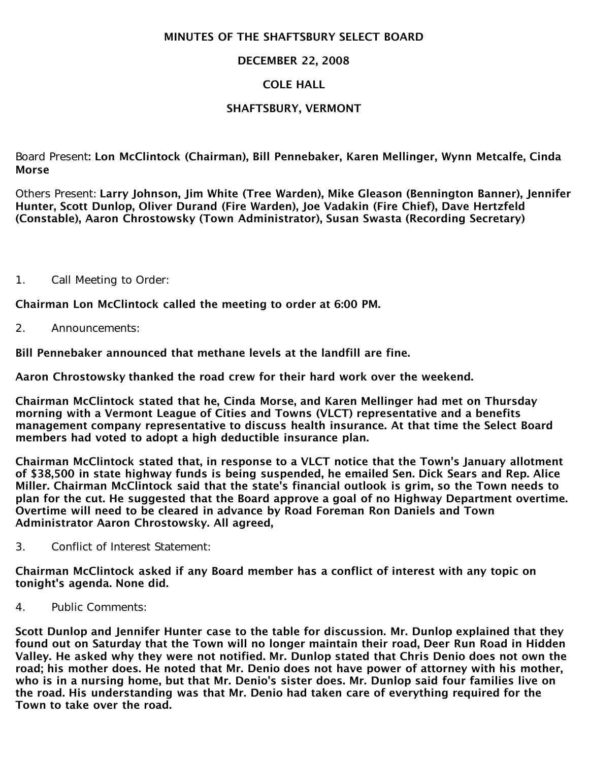#### MINUTES OF THE SHAFTSBURY SELECT BOARD

## DECEMBER 22, 2008

## COLE HALL

# SHAFTSBURY, VERMONT

Board Present: Lon McClintock (Chairman), Bill Pennebaker, Karen Mellinger, Wynn Metcalfe, Cinda Morse

Others Present: Larry Johnson, Jim White (Tree Warden), Mike Gleason (Bennington Banner), Jennifer Hunter, Scott Dunlop, Oliver Durand (Fire Warden), Joe Vadakin (Fire Chief), Dave Hertzfeld (Constable), Aaron Chrostowsky (Town Administrator), Susan Swasta (Recording Secretary)

1. Call Meeting to Order:

Chairman Lon McClintock called the meeting to order at 6:00 PM.

2. Announcements:

Bill Pennebaker announced that methane levels at the landfill are fine.

Aaron Chrostowsky thanked the road crew for their hard work over the weekend.

Chairman McClintock stated that he, Cinda Morse, and Karen Mellinger had met on Thursday morning with a Vermont League of Cities and Towns (VLCT) representative and a benefits management company representative to discuss health insurance. At that time the Select Board members had voted to adopt a high deductible insurance plan.

Chairman McClintock stated that, in response to a VLCT notice that the Town's January allotment of \$38,500 in state highway funds is being suspended, he emailed Sen. Dick Sears and Rep. Alice Miller. Chairman McClintock said that the state's financial outlook is grim, so the Town needs to plan for the cut. He suggested that the Board approve a goal of no Highway Department overtime. Overtime will need to be cleared in advance by Road Foreman Ron Daniels and Town Administrator Aaron Chrostowsky. All agreed,

3. Conflict of Interest Statement:

Chairman McClintock asked if any Board member has a conflict of interest with any topic on tonight's agenda. None did.

4. Public Comments:

Scott Dunlop and Jennifer Hunter case to the table for discussion. Mr. Dunlop explained that they found out on Saturday that the Town will no longer maintain their road, Deer Run Road in Hidden Valley. He asked why they were not notified. Mr. Dunlop stated that Chris Denio does not own the road; his mother does. He noted that Mr. Denio does not have power of attorney with his mother, who is in a nursing home, but that Mr. Denio's sister does. Mr. Dunlop said four families live on the road. His understanding was that Mr. Denio had taken care of everything required for the Town to take over the road.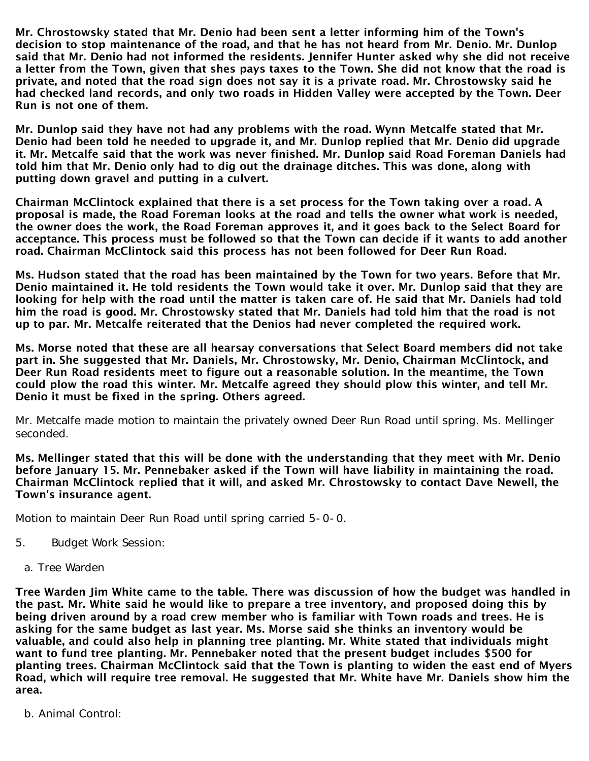Mr. Chrostowsky stated that Mr. Denio had been sent a letter informing him of the Town's decision to stop maintenance of the road, and that he has not heard from Mr. Denio. Mr. Dunlop said that Mr. Denio had not informed the residents. Jennifer Hunter asked why she did not receive a letter from the Town, given that shes pays taxes to the Town. She did not know that the road is private, and noted that the road sign does not say it is a private road. Mr. Chrostowsky said he had checked land records, and only two roads in Hidden Valley were accepted by the Town. Deer Run is not one of them.

Mr. Dunlop said they have not had any problems with the road. Wynn Metcalfe stated that Mr. Denio had been told he needed to upgrade it, and Mr. Dunlop replied that Mr. Denio did upgrade it. Mr. Metcalfe said that the work was never finished. Mr. Dunlop said Road Foreman Daniels had told him that Mr. Denio only had to dig out the drainage ditches. This was done, along with putting down gravel and putting in a culvert.

Chairman McClintock explained that there is a set process for the Town taking over a road. A proposal is made, the Road Foreman looks at the road and tells the owner what work is needed, the owner does the work, the Road Foreman approves it, and it goes back to the Select Board for acceptance. This process must be followed so that the Town can decide if it wants to add another road. Chairman McClintock said this process has not been followed for Deer Run Road.

Ms. Hudson stated that the road has been maintained by the Town for two years. Before that Mr. Denio maintained it. He told residents the Town would take it over. Mr. Dunlop said that they are looking for help with the road until the matter is taken care of. He said that Mr. Daniels had told him the road is good. Mr. Chrostowsky stated that Mr. Daniels had told him that the road is not up to par. Mr. Metcalfe reiterated that the Denios had never completed the required work.

Ms. Morse noted that these are all hearsay conversations that Select Board members did not take part in. She suggested that Mr. Daniels, Mr. Chrostowsky, Mr. Denio, Chairman McClintock, and Deer Run Road residents meet to figure out a reasonable solution. In the meantime, the Town could plow the road this winter. Mr. Metcalfe agreed they should plow this winter, and tell Mr. Denio it must be fixed in the spring. Others agreed.

Mr. Metcalfe made motion to maintain the privately owned Deer Run Road until spring. Ms. Mellinger seconded.

Ms. Mellinger stated that this will be done with the understanding that they meet with Mr. Denio before January 15. Mr. Pennebaker asked if the Town will have liability in maintaining the road. Chairman McClintock replied that it will, and asked Mr. Chrostowsky to contact Dave Newell, the Town's insurance agent.

Motion to maintain Deer Run Road until spring carried 5-0-0.

- 5. Budget Work Session:
	- a. Tree Warden

Tree Warden Jim White came to the table. There was discussion of how the budget was handled in the past. Mr. White said he would like to prepare a tree inventory, and proposed doing this by being driven around by a road crew member who is familiar with Town roads and trees. He is asking for the same budget as last year. Ms. Morse said she thinks an inventory would be valuable, and could also help in planning tree planting. Mr. White stated that individuals might want to fund tree planting. Mr. Pennebaker noted that the present budget includes \$500 for planting trees. Chairman McClintock said that the Town is planting to widen the east end of Myers Road, which will require tree removal. He suggested that Mr. White have Mr. Daniels show him the area.

b. Animal Control: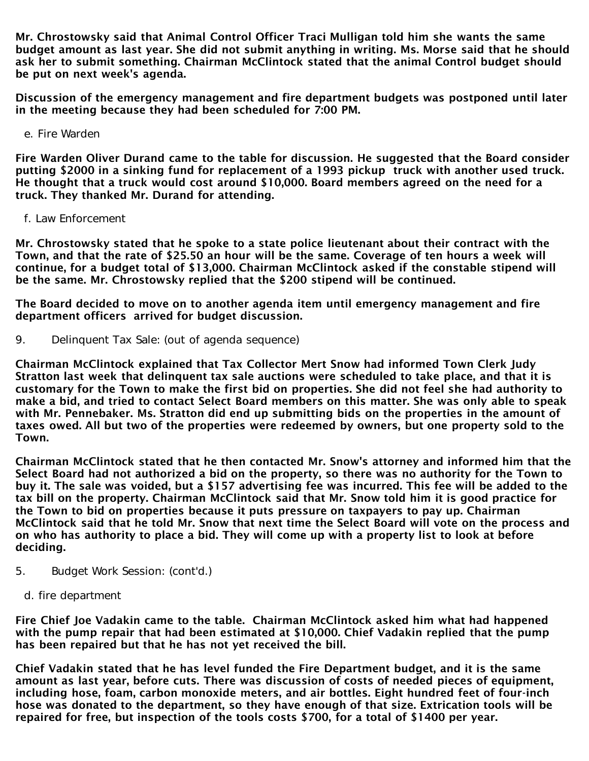Mr. Chrostowsky said that Animal Control Officer Traci Mulligan told him she wants the same budget amount as last year. She did not submit anything in writing. Ms. Morse said that he should ask her to submit something. Chairman McClintock stated that the animal Control budget should be put on next week's agenda.

Discussion of the emergency management and fire department budgets was postponed until later in the meeting because they had been scheduled for 7:00 PM.

e. Fire Warden

Fire Warden Oliver Durand came to the table for discussion. He suggested that the Board consider putting \$2000 in a sinking fund for replacement of a 1993 pickup truck with another used truck. He thought that a truck would cost around \$10,000. Board members agreed on the need for a truck. They thanked Mr. Durand for attending.

f. Law Enforcement

Mr. Chrostowsky stated that he spoke to a state police lieutenant about their contract with the Town, and that the rate of \$25.50 an hour will be the same. Coverage of ten hours a week will continue, for a budget total of \$13,000. Chairman McClintock asked if the constable stipend will be the same. Mr. Chrostowsky replied that the \$200 stipend will be continued.

The Board decided to move on to another agenda item until emergency management and fire department officers arrived for budget discussion.

9. Delinquent Tax Sale: (out of agenda sequence)

Chairman McClintock explained that Tax Collector Mert Snow had informed Town Clerk Judy Stratton last week that delinquent tax sale auctions were scheduled to take place, and that it is customary for the Town to make the first bid on properties. She did not feel she had authority to make a bid, and tried to contact Select Board members on this matter. She was only able to speak with Mr. Pennebaker. Ms. Stratton did end up submitting bids on the properties in the amount of taxes owed. All but two of the properties were redeemed by owners, but one property sold to the Town.

Chairman McClintock stated that he then contacted Mr. Snow's attorney and informed him that the Select Board had not authorized a bid on the property, so there was no authority for the Town to buy it. The sale was voided, but a \$157 advertising fee was incurred. This fee will be added to the tax bill on the property. Chairman McClintock said that Mr. Snow told him it is good practice for the Town to bid on properties because it puts pressure on taxpayers to pay up. Chairman McClintock said that he told Mr. Snow that next time the Select Board will vote on the process and on who has authority to place a bid. They will come up with a property list to look at before deciding.

- 5. Budget Work Session: (cont'd.)
	- d. fire department

Fire Chief Joe Vadakin came to the table. Chairman McClintock asked him what had happened with the pump repair that had been estimated at \$10,000. Chief Vadakin replied that the pump has been repaired but that he has not yet received the bill.

Chief Vadakin stated that he has level funded the Fire Department budget, and it is the same amount as last year, before cuts. There was discussion of costs of needed pieces of equipment, including hose, foam, carbon monoxide meters, and air bottles. Eight hundred feet of four-inch hose was donated to the department, so they have enough of that size. Extrication tools will be repaired for free, but inspection of the tools costs \$700, for a total of \$1400 per year.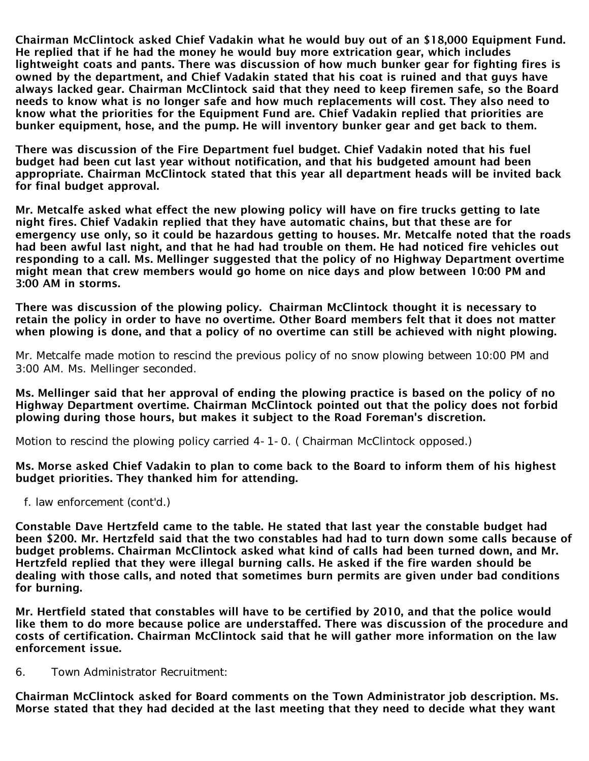Chairman McClintock asked Chief Vadakin what he would buy out of an \$18,000 Equipment Fund. He replied that if he had the money he would buy more extrication gear, which includes lightweight coats and pants. There was discussion of how much bunker gear for fighting fires is owned by the department, and Chief Vadakin stated that his coat is ruined and that guys have always lacked gear. Chairman McClintock said that they need to keep firemen safe, so the Board needs to know what is no longer safe and how much replacements will cost. They also need to know what the priorities for the Equipment Fund are. Chief Vadakin replied that priorities are bunker equipment, hose, and the pump. He will inventory bunker gear and get back to them.

There was discussion of the Fire Department fuel budget. Chief Vadakin noted that his fuel budget had been cut last year without notification, and that his budgeted amount had been appropriate. Chairman McClintock stated that this year all department heads will be invited back for final budget approval.

Mr. Metcalfe asked what effect the new plowing policy will have on fire trucks getting to late night fires. Chief Vadakin replied that they have automatic chains, but that these are for emergency use only, so it could be hazardous getting to houses. Mr. Metcalfe noted that the roads had been awful last night, and that he had had trouble on them. He had noticed fire vehicles out responding to a call. Ms. Mellinger suggested that the policy of no Highway Department overtime might mean that crew members would go home on nice days and plow between 10:00 PM and 3:00 AM in storms.

There was discussion of the plowing policy. Chairman McClintock thought it is necessary to retain the policy in order to have no overtime. Other Board members felt that it does not matter when plowing is done, and that a policy of no overtime can still be achieved with night plowing.

Mr. Metcalfe made motion to rescind the previous policy of no snow plowing between 10:00 PM and 3:00 AM. Ms. Mellinger seconded.

Ms. Mellinger said that her approval of ending the plowing practice is based on the policy of no Highway Department overtime. Chairman McClintock pointed out that the policy does not forbid plowing during those hours, but makes it subject to the Road Foreman's discretion.

Motion to rescind the plowing policy carried 4-1-0. ( Chairman McClintock opposed.)

Ms. Morse asked Chief Vadakin to plan to come back to the Board to inform them of his highest budget priorities. They thanked him for attending.

f. law enforcement (cont'd.)

Constable Dave Hertzfeld came to the table. He stated that last year the constable budget had been \$200. Mr. Hertzfeld said that the two constables had had to turn down some calls because of budget problems. Chairman McClintock asked what kind of calls had been turned down, and Mr. Hertzfeld replied that they were illegal burning calls. He asked if the fire warden should be dealing with those calls, and noted that sometimes burn permits are given under bad conditions for burning.

Mr. Hertfield stated that constables will have to be certified by 2010, and that the police would like them to do more because police are understaffed. There was discussion of the procedure and costs of certification. Chairman McClintock said that he will gather more information on the law enforcement issue.

6. Town Administrator Recruitment:

Chairman McClintock asked for Board comments on the Town Administrator job description. Ms. Morse stated that they had decided at the last meeting that they need to decide what they want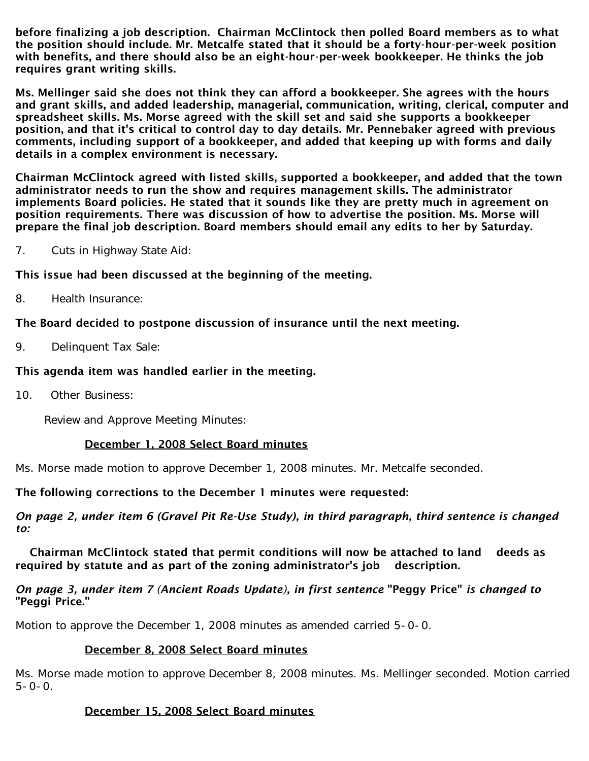before finalizing a job description. Chairman McClintock then polled Board members as to what the position should include. Mr. Metcalfe stated that it should be a forty-hour-per-week position with benefits, and there should also be an eight-hour-per-week bookkeeper. He thinks the job requires grant writing skills.

Ms. Mellinger said she does not think they can afford a bookkeeper. She agrees with the hours and grant skills, and added leadership, managerial, communication, writing, clerical, computer and spreadsheet skills. Ms. Morse agreed with the skill set and said she supports a bookkeeper position, and that it's critical to control day to day details. Mr. Pennebaker agreed with previous comments, including support of a bookkeeper, and added that keeping up with forms and daily details in a complex environment is necessary.

Chairman McClintock agreed with listed skills, supported a bookkeeper, and added that the town administrator needs to run the show and requires management skills. The administrator implements Board policies. He stated that it sounds like they are pretty much in agreement on position requirements. There was discussion of how to advertise the position. Ms. Morse will prepare the final job description. Board members should email any edits to her by Saturday.

7. Cuts in Highway State Aid:

This issue had been discussed at the beginning of the meeting.

8. Health Insurance:

## The Board decided to postpone discussion of insurance until the next meeting.

9. Delinquent Tax Sale:

## This agenda item was handled earlier in the meeting.

10. Other Business:

Review and Approve Meeting Minutes:

## December 1, 2008 Select Board minutes

Ms. Morse made motion to approve December 1, 2008 minutes. Mr. Metcalfe seconded.

#### The following corrections to the December 1 minutes were requested:

#### *On page 2, under item 6 (Gravel Pit Re-Use Study), in third paragraph, third sentence is changed to:*

 Chairman McClintock stated that permit conditions will now be attached to land deeds as required by statute and as part of the zoning administrator's job description.

#### *On page 3, under item 7 (Ancient Roads Update), in first sentence* "Peggy Price" *is changed to* "Peggi Price."

Motion to approve the December 1, 2008 minutes as amended carried 5-0-0.

## December 8, 2008 Select Board minutes

Ms. Morse made motion to approve December 8, 2008 minutes. Ms. Mellinger seconded. Motion carried  $5 - 0 - 0$ .

## December 15, 2008 Select Board minutes